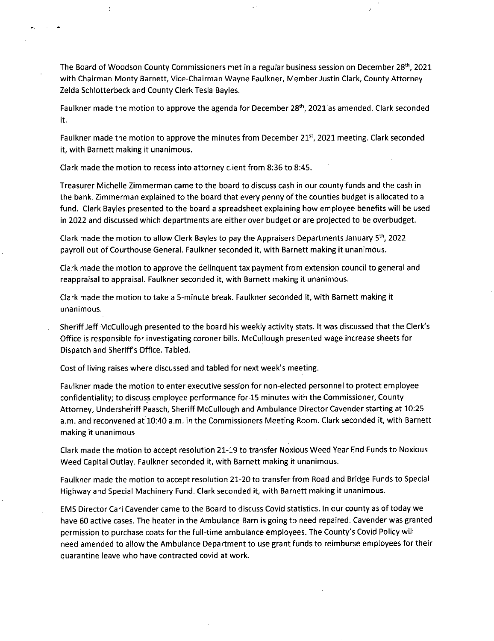The Board of Woodson County Commissioners met in a regular business session on December 28th, 2021 with Chairman Monty Barnett, Vice-Chairman Wayne Faulkner, Member Justin Clark, County Attorney Zelda Schlotterbeck and County Clerk Tesla Bayles.

Faulkner made the motion to approve the agenda for December 28<sup>th</sup>, 2021 as amended. Clark seconded it.

Faulkner made the motion to approve the minutes from December 21<sup>st</sup>, 2021 meeting. Clark seconded it, with Barnett making it unanimous.

Clark made the motion to recess into attorney client from 8:36 to 8:45.

 $\zeta$ 

Treasurer Michelle Zimmerman came to the board to discuss cash in our county funds and the cash in the bank. Zimmerman explained to the board that every penny of the counties budget is allocated to a fund. Clerk Bayles presented to the board a spreadsheet explaining how employee benefits will be used in 2022 and discussed which departments are either over budget or are projected to be overbudget.

Clark made the motion to allow Clerk Bayles to pay the Appraisers Departments January 5th, 2022 payroll out of Courthouse General. Faulkner seconded it, with Barnett making it unanimous.

Clark made the motion to approve the delinquent tax payment from extension council to general and reappraisal to appraisal. Faulkner seconded it, with Barnett making it unanimous.

Clark made the motion to take a 5-minute break. Faulkner seconded it, with Barnett making it unanimous.

Sheriff Jeff McCullough presented to the board his weekly activity stats. It was discussed that the Clerk's Office is responsible for investigating coroner bills. McCullough presented wage increase sheets for Dispatch and Sheriffs Office. Tabled.

Cost of living raises where discussed and tabled for next week's meeting.

Faulkner made the motion to enter executive session for non-elected personnel to protect employee confidentiality; to discuss employee performance for 15 minutes with the Commissioner, County Attorney, Undersheriff Paasch, Sheriff McCullough and Ambulance Director Cavender starting at 10:25 a.m. and reconvened at 10:40 a.m. in the Commissioners Meeting Room. Clark seconded it, with Barnett making it unanimous

Clark made the motion to accept resolution 21-19 to transfer Noxious Weed Year End Funds to Noxious Weed Capital Outlay. Faulkner seconded it, with Barnett making it unanimous.

Faulkner made the motion to accept resolution 21-20 to transfer from Road and Bridge Funds to Special Highway and Special Machinery Fund. Clark seconded it, with Barnett making it unanimous.

EMS Director Cari Cavender came to the Board to discuss Covid statistics. In our county as of today we have 60 active cases. The heater in the Ambulance Barn is going to need repaired. Cavender was granted permission to purchase coats for the full-time ambulance employees. The County's Covid Policy will need amended to allow the Ambulance Department to use grant funds to reimburse employees for their quarantine leave who have contracted covid at work.